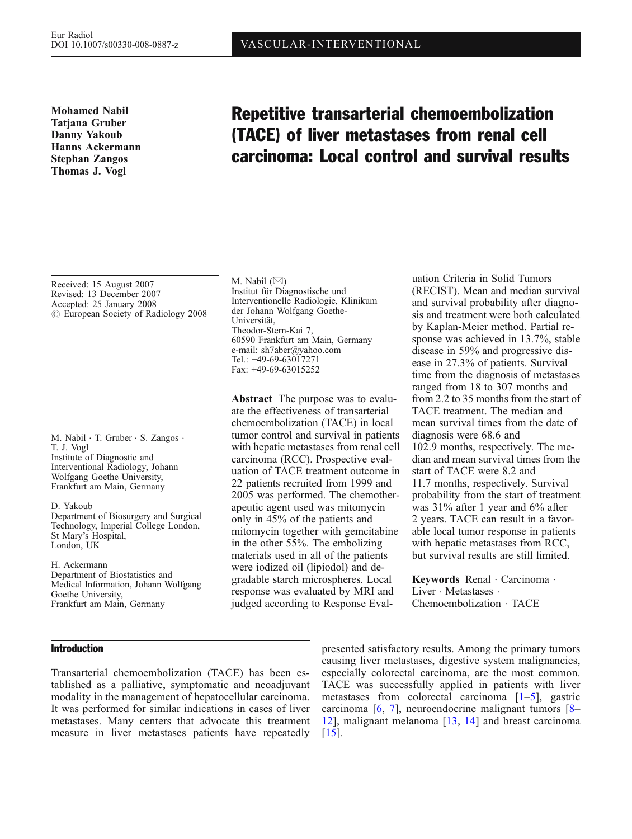Mohamed Nabil Tatjana Gruber Danny Yakoub Hanns Ackermann Stephan Zangos Thomas J. Vogl

# Repetitive transarterial chemoembolization (TACE) of liver metastases from renal cell carcinoma: Local control and survival results

Received: 15 August 2007 Revised: 13 December 2007 Accepted: 25 January 2008  $\circ$  European Society of Radiology 2008

M. Nabil · T. Gruber · S. Zangos · T. J. Vogl Institute of Diagnostic and Interventional Radiology, Johann Wolfgang Goethe University, Frankfurt am Main, Germany

D. Yakoub Department of Biosurgery and Surgical Technology, Imperial College London, St Mary's Hospital, London, UK

H. Ackermann Department of Biostatistics and Medical Information, Johann Wolfgang Goethe University, Frankfurt am Main, Germany

# Introduction

M. Nabil (*\**) Institut für Diagnostische und Interventionelle Radiologie, Klinikum der Johann Wolfgang Goethe-Universität, Theodor-Stern-Kai 7, 60590 Frankfurt am Main, Germany e-mail: sh7aber@yahoo.com Tel.: +49-69-63017271 Fax: +49-69-63015252

Abstract The purpose was to evaluate the effectiveness of transarterial chemoembolization (TACE) in local tumor control and survival in patients with hepatic metastases from renal cell carcinoma (RCC). Prospective evaluation of TACE treatment outcome in 22 patients recruited from 1999 and 2005 was performed. The chemotherapeutic agent used was mitomycin only in 45% of the patients and mitomycin together with gemcitabine in the other 55%. The embolizing materials used in all of the patients were iodized oil (lipiodol) and degradable starch microspheres. Local response was evaluated by MRI and judged according to Response Evaluation Criteria in Solid Tumors (RECIST). Mean and median survival and survival probability after diagnosis and treatment were both calculated by Kaplan-Meier method. Partial response was achieved in 13.7%, stable disease in 59% and progressive disease in 27.3% of patients. Survival time from the diagnosis of metastases ranged from 18 to 307 months and from 2.2 to 35 months from the start of TACE treatment. The median and mean survival times from the date of diagnosis were 68.6 and 102.9 months, respectively. The median and mean survival times from the start of TACE were 8.2 and 11.7 months, respectively. Survival probability from the start of treatment was 31% after 1 year and 6% after 2 years. TACE can result in a favorable local tumor response in patients with hepatic metastases from RCC, but survival results are still limited.

Keywords Renal · Carcinoma · Liver · Metastases · Chemoembolization . TACE

Transarterial chemoembolization (TACE) has been established as a palliative, symptomatic and neoadjuvant modality in the management of hepatocellular carcinoma. It was performed for similar indications in cases of liver metastases. Many centers that advocate this treatment measure in liver metastases patients have repeatedly

presented satisfactory results. Among the primary tumors causing liver metastases, digestive system malignancies, especially colorectal carcinoma, are the most common. TACE was successfully applied in patients with liver metastases from colorectal carcinoma  $[1-5]$  $[1-5]$  $[1-5]$  $[1-5]$  $[1-5]$ , gastric carcinoma  $[6, 7]$  $[6, 7]$  $[6, 7]$  $[6, 7]$ , neuroendocrine malignant tumors  $[8 [8 [8 -$ [12\]](#page-7-0), malignant melanoma [[13](#page-7-0), [14](#page-7-0)] and breast carcinoma  $[15]$  $[15]$  $[15]$ .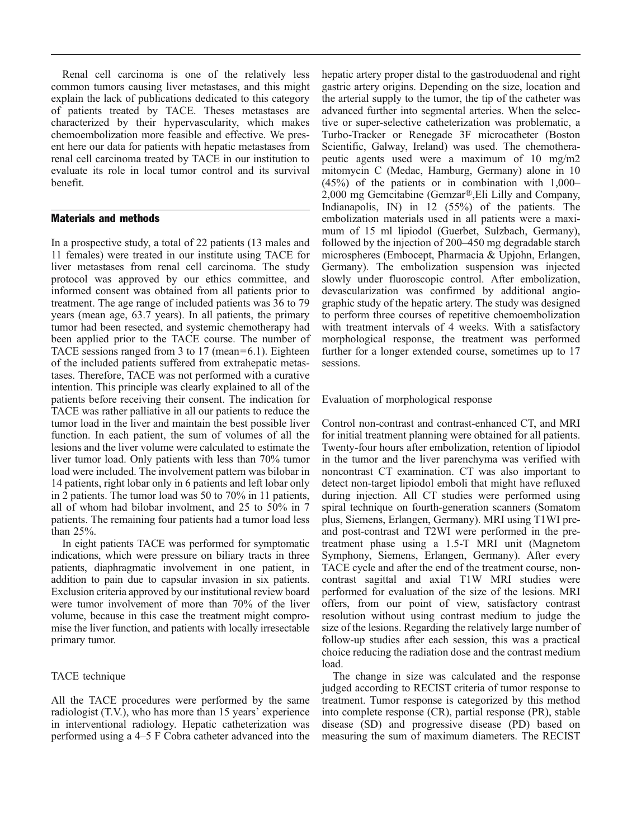Renal cell carcinoma is one of the relatively less common tumors causing liver metastases, and this might explain the lack of publications dedicated to this category of patients treated by TACE. Theses metastases are characterized by their hypervascularity, which makes chemoembolization more feasible and effective. We present here our data for patients with hepatic metastases from renal cell carcinoma treated by TACE in our institution to evaluate its role in local tumor control and its survival benefit.

## Materials and methods

In a prospective study, a total of 22 patients (13 males and 11 females) were treated in our institute using TACE for liver metastases from renal cell carcinoma. The study protocol was approved by our ethics committee, and informed consent was obtained from all patients prior to treatment. The age range of included patients was 36 to 79 years (mean age, 63.7 years). In all patients, the primary tumor had been resected, and systemic chemotherapy had been applied prior to the TACE course. The number of TACE sessions ranged from 3 to 17 (mean=6.1). Eighteen of the included patients suffered from extrahepatic metastases. Therefore, TACE was not performed with a curative intention. This principle was clearly explained to all of the patients before receiving their consent. The indication for TACE was rather palliative in all our patients to reduce the tumor load in the liver and maintain the best possible liver function. In each patient, the sum of volumes of all the lesions and the liver volume were calculated to estimate the liver tumor load. Only patients with less than 70% tumor load were included. The involvement pattern was bilobar in 14 patients, right lobar only in 6 patients and left lobar only in 2 patients. The tumor load was 50 to 70% in 11 patients, all of whom had bilobar involment, and 25 to 50% in 7 patients. The remaining four patients had a tumor load less than 25%.

In eight patients TACE was performed for symptomatic indications, which were pressure on biliary tracts in three patients, diaphragmatic involvement in one patient, in addition to pain due to capsular invasion in six patients. Exclusion criteria approved by our institutional review board were tumor involvement of more than 70% of the liver volume, because in this case the treatment might compromise the liver function, and patients with locally irresectable primary tumor.

#### TACE technique

All the TACE procedures were performed by the same radiologist (T.V.), who has more than 15 years' experience in interventional radiology. Hepatic catheterization was performed using a 4–5 F Cobra catheter advanced into the

hepatic artery proper distal to the gastroduodenal and right gastric artery origins. Depending on the size, location and the arterial supply to the tumor, the tip of the catheter was advanced further into segmental arteries. When the selective or super-selective catheterization was problematic, a Turbo-Tracker or Renegade 3F microcatheter (Boston Scientific, Galway, Ireland) was used. The chemotherapeutic agents used were a maximum of 10 mg/m2 mitomycin C (Medac, Hamburg, Germany) alone in 10 (45%) of the patients or in combination with 1,000– 2,000 mg Gemcitabine (Gemzar®,Eli Lilly and Company, Indianapolis, IN) in 12 (55%) of the patients. The embolization materials used in all patients were a maximum of 15 ml lipiodol (Guerbet, Sulzbach, Germany), followed by the injection of 200–450 mg degradable starch microspheres (Embocept, Pharmacia & Upjohn, Erlangen, Germany). The embolization suspension was injected slowly under fluoroscopic control. After embolization, devascularization was confirmed by additional angiographic study of the hepatic artery. The study was designed to perform three courses of repetitive chemoembolization with treatment intervals of 4 weeks. With a satisfactory morphological response, the treatment was performed further for a longer extended course, sometimes up to 17 sessions.

Evaluation of morphological response

Control non-contrast and contrast-enhanced CT, and MRI for initial treatment planning were obtained for all patients. Twenty-four hours after embolization, retention of lipiodol in the tumor and the liver parenchyma was verified with noncontrast CT examination. CT was also important to detect non-target lipiodol emboli that might have refluxed during injection. All CT studies were performed using spiral technique on fourth-generation scanners (Somatom plus, Siemens, Erlangen, Germany). MRI using T1WI preand post-contrast and T2WI were performed in the pretreatment phase using a 1.5-T MRI unit (Magnetom Symphony, Siemens, Erlangen, Germany). After every TACE cycle and after the end of the treatment course, noncontrast sagittal and axial T1W MRI studies were performed for evaluation of the size of the lesions. MRI offers, from our point of view, satisfactory contrast resolution without using contrast medium to judge the size of the lesions. Regarding the relatively large number of follow-up studies after each session, this was a practical choice reducing the radiation dose and the contrast medium load.

The change in size was calculated and the response judged according to RECIST criteria of tumor response to treatment. Tumor response is categorized by this method into complete response (CR), partial response (PR), stable disease (SD) and progressive disease (PD) based on measuring the sum of maximum diameters. The RECIST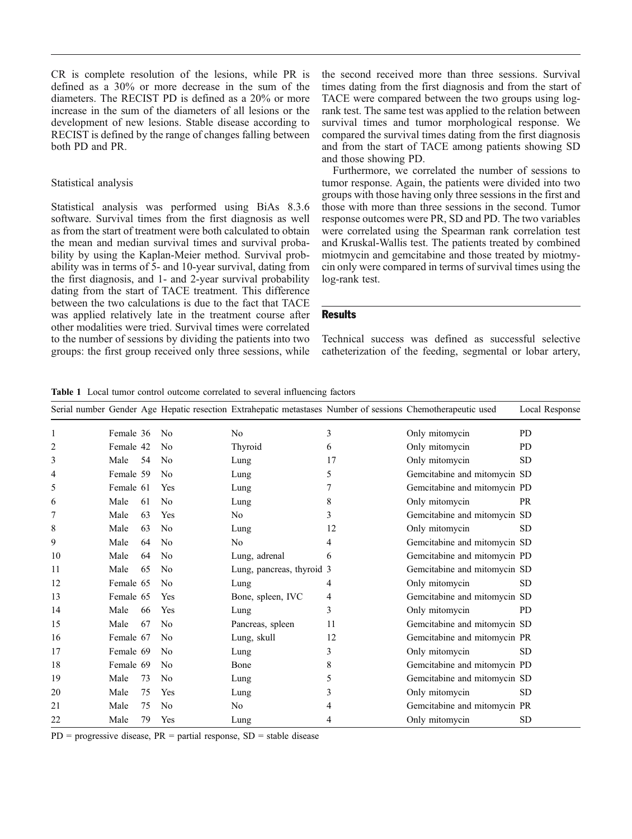<span id="page-2-0"></span>CR is complete resolution of the lesions, while PR is defined as a 30% or more decrease in the sum of the diameters. The RECIST PD is defined as a 20% or more increase in the sum of the diameters of all lesions or the development of new lesions. Stable disease according to RECIST is defined by the range of changes falling between both PD and PR.

#### Statistical analysis

Statistical analysis was performed using BiAs 8.3.6 software. Survival times from the first diagnosis as well as from the start of treatment were both calculated to obtain the mean and median survival times and survival probability by using the Kaplan-Meier method. Survival probability was in terms of 5- and 10-year survival, dating from the first diagnosis, and 1- and 2-year survival probability dating from the start of TACE treatment. This difference between the two calculations is due to the fact that TACE was applied relatively late in the treatment course after other modalities were tried. Survival times were correlated to the number of sessions by dividing the patients into two groups: the first group received only three sessions, while

the second received more than three sessions. Survival times dating from the first diagnosis and from the start of TACE were compared between the two groups using logrank test. The same test was applied to the relation between survival times and tumor morphological response. We compared the survival times dating from the first diagnosis and from the start of TACE among patients showing SD and those showing PD.

Furthermore, we correlated the number of sessions to tumor response. Again, the patients were divided into two groups with those having only three sessions in the first and those with more than three sessions in the second. Tumor response outcomes were PR, SD and PD. The two variables were correlated using the Spearman rank correlation test and Kruskal-Wallis test. The patients treated by combined miotmycin and gemcitabine and those treated by miotmycin only were compared in terms of survival times using the log-rank test.

#### Results

Technical success was defined as successful selective catheterization of the feeding, segmental or lobar artery,

Table 1 Local tumor control outcome correlated to several influencing factors

|    |           |    |                | Serial number Gender Age Hepatic resection Extrahepatic metastases Number of sessions Chemotherapeutic used |    |                              | Local Response |
|----|-----------|----|----------------|-------------------------------------------------------------------------------------------------------------|----|------------------------------|----------------|
| 1  | Female 36 |    | N <sub>0</sub> | No                                                                                                          | 3  | Only mitomycin               | <b>PD</b>      |
| 2  | Female 42 |    | N <sub>0</sub> | Thyroid                                                                                                     | 6  | Only mitomycin               | PD.            |
| 3  | Male      | 54 | N <sub>0</sub> | Lung                                                                                                        | 17 | Only mitomycin               | <b>SD</b>      |
| 4  | Female 59 |    | No             | Lung                                                                                                        | 5  | Gemcitabine and mitomycin SD |                |
| 5  | Female 61 |    | Yes            | Lung                                                                                                        | 7  | Gemcitabine and mitomycin PD |                |
| 6  | Male      | 61 | N <sub>0</sub> | Lung                                                                                                        | 8  | Only mitomycin               | PR             |
| 7  | Male      | 63 | Yes            | No                                                                                                          | 3  | Gemcitabine and mitomycin SD |                |
| 8  | Male      | 63 | N <sub>0</sub> | Lung                                                                                                        | 12 | Only mitomycin               | SD.            |
| 9  | Male      | 64 | N <sub>0</sub> | N <sub>0</sub>                                                                                              | 4  | Gemcitabine and mitomycin SD |                |
| 10 | Male      | 64 | N <sub>0</sub> | Lung, adrenal                                                                                               | 6  | Gemcitabine and mitomycin PD |                |
| 11 | Male      | 65 | N <sub>0</sub> | Lung, pancreas, thyroid 3                                                                                   |    | Gemcitabine and mitomycin SD |                |
| 12 | Female 65 |    | N <sub>0</sub> | Lung                                                                                                        | 4  | Only mitomycin               | SD.            |
| 13 | Female 65 |    | Yes            | Bone, spleen, IVC                                                                                           | 4  | Gemcitabine and mitomycin SD |                |
| 14 | Male      | 66 | Yes            | Lung                                                                                                        | 3  | Only mitomycin               | PD.            |
| 15 | Male      | 67 | No             | Pancreas, spleen                                                                                            | 11 | Gemcitabine and mitomycin SD |                |
| 16 | Female 67 |    | No             | Lung, skull                                                                                                 | 12 | Gemcitabine and mitomycin PR |                |
| 17 | Female 69 |    | N <sub>0</sub> | Lung                                                                                                        | 3  | Only mitomycin               | SD.            |
| 18 | Female 69 |    | N <sub>0</sub> | Bone                                                                                                        | 8  | Gemcitabine and mitomycin PD |                |
| 19 | Male      | 73 | N <sub>0</sub> | Lung                                                                                                        | 5  | Gemcitabine and mitomycin SD |                |
| 20 | Male      | 75 | Yes            | Lung                                                                                                        | 3  | Only mitomycin               | <b>SD</b>      |
| 21 | Male      | 75 | N <sub>0</sub> | N <sub>0</sub>                                                                                              | 4  | Gemcitabine and mitomycin PR |                |
| 22 | Male      | 79 | Yes            | Lung                                                                                                        | 4  | Only mitomycin               | <b>SD</b>      |

 $PD = \text{progressive disease}, PR = \text{partial response}, SD = \text{stable disease}$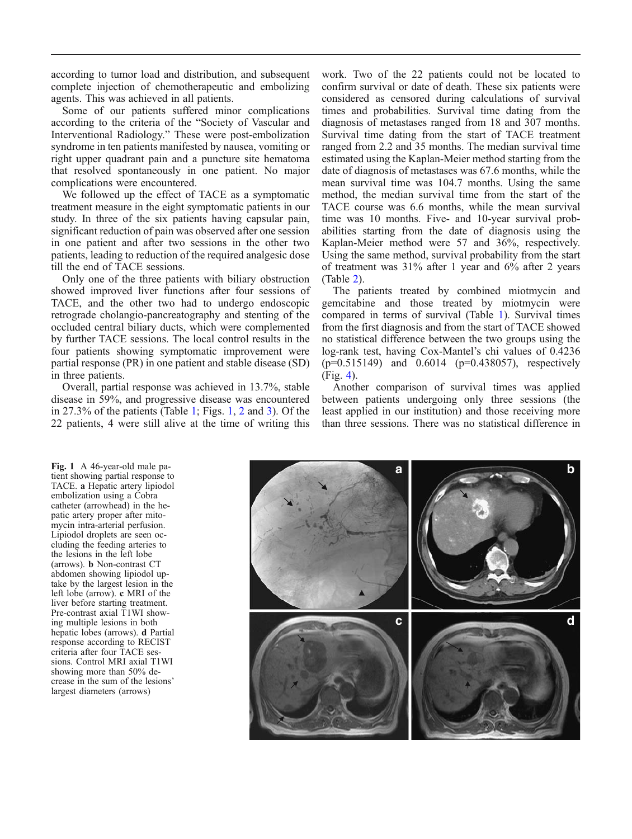according to tumor load and distribution, and subsequent complete injection of chemotherapeutic and embolizing agents. This was achieved in all patients.

Some of our patients suffered minor complications according to the criteria of the "Society of Vascular and Interventional Radiology." These were post-embolization syndrome in ten patients manifested by nausea, vomiting or right upper quadrant pain and a puncture site hematoma that resolved spontaneously in one patient. No major complications were encountered.

We followed up the effect of TACE as a symptomatic treatment measure in the eight symptomatic patients in our study. In three of the six patients having capsular pain, significant reduction of pain was observed after one session in one patient and after two sessions in the other two patients, leading to reduction of the required analgesic dose till the end of TACE sessions.

Only one of the three patients with biliary obstruction showed improved liver functions after four sessions of TACE, and the other two had to undergo endoscopic retrograde cholangio-pancreatography and stenting of the occluded central biliary ducts, which were complemented by further TACE sessions. The local control results in the four patients showing symptomatic improvement were partial response (PR) in one patient and stable disease (SD) in three patients.

Overall, partial response was achieved in 13.7%, stable disease in 59%, and progressive disease was encountered in 27.3% of the patients (Table [1](#page-2-0); Figs. 1, [2](#page-4-0) and [3\)](#page-5-0). Of the 22 patients, 4 were still alive at the time of writing this work. Two of the 22 patients could not be located to confirm survival or date of death. These six patients were considered as censored during calculations of survival times and probabilities. Survival time dating from the diagnosis of metastases ranged from 18 and 307 months. Survival time dating from the start of TACE treatment ranged from 2.2 and 35 months. The median survival time estimated using the Kaplan-Meier method starting from the date of diagnosis of metastases was 67.6 months, while the mean survival time was 104.7 months. Using the same method, the median survival time from the start of the TACE course was 6.6 months, while the mean survival time was 10 months. Five- and 10-year survival probabilities starting from the date of diagnosis using the Kaplan-Meier method were 57 and 36%, respectively. Using the same method, survival probability from the start of treatment was 31% after 1 year and 6% after 2 years (Table [2\)](#page-5-0).

The patients treated by combined miotmycin and gemcitabine and those treated by miotmycin were compared in terms of survival (Table [1\)](#page-2-0). Survival times from the first diagnosis and from the start of TACE showed no statistical difference between the two groups using the log-rank test, having Cox-Mantel's chi values of 0.4236  $(p=0.515149)$  and  $0.6014$   $(p=0.438057)$ , respectively (Fig. [4](#page-6-0)).

Another comparison of survival times was applied between patients undergoing only three sessions (the least applied in our institution) and those receiving more than three sessions. There was no statistical difference in

Fig. 1 A 46-year-old male patient showing partial response to TACE. a Hepatic artery lipiodol embolization using a Cobra catheter (arrowhead) in the hepatic artery proper after mitomycin intra-arterial perfusion. Lipiodol droplets are seen occluding the feeding arteries to the lesions in the left lobe (arrows). b Non-contrast CT abdomen showing lipiodol uptake by the largest lesion in the left lobe (arrow). c MRI of the liver before starting treatment. Pre-contrast axial T1WI showing multiple lesions in both hepatic lobes (arrows). d Partial response according to RECIST criteria after four TACE sessions. Control MRI axial T1WI showing more than 50% decrease in the sum of the lesions' largest diameters (arrows)

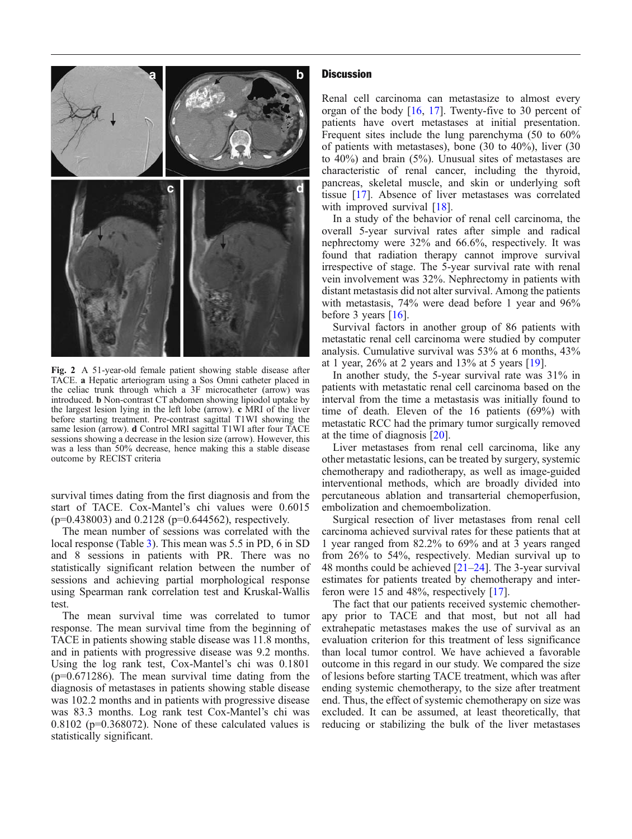<span id="page-4-0"></span>

Fig. 2 A 51-year-old female patient showing stable disease after TACE. a Hepatic arteriogram using a Sos Omni catheter placed in the celiac trunk through which a 3F microcatheter (arrow) was introduced. b Non-contrast CT abdomen showing lipiodol uptake by the largest lesion lying in the left lobe (arrow). c MRI of the liver before starting treatment. Pre-contrast sagittal T1WI showing the same lesion (arrow). d Control MRI sagittal T1WI after four TACE sessions showing a decrease in the lesion size (arrow). However, this was a less than 50% decrease, hence making this a stable disease outcome by RECIST criteria

survival times dating from the first diagnosis and from the start of TACE. Cox-Mantel's chi values were 0.6015  $(p=0.438003)$  and 0.2128 ( $p=0.644562$ ), respectively.

The mean number of sessions was correlated with the local response (Table [3](#page-6-0)). This mean was 5.5 in PD, 6 in SD and 8 sessions in patients with PR. There was no statistically significant relation between the number of sessions and achieving partial morphological response using Spearman rank correlation test and Kruskal-Wallis test.

The mean survival time was correlated to tumor response. The mean survival time from the beginning of TACE in patients showing stable disease was 11.8 months, and in patients with progressive disease was 9.2 months. Using the log rank test, Cox-Mantel's chi was 0.1801  $(p=0.671286)$ . The mean survival time dating from the diagnosis of metastases in patients showing stable disease was 102.2 months and in patients with progressive disease was 83.3 months. Log rank test Cox-Mantel's chi was  $0.8102$  (p= $0.368072$ ). None of these calculated values is statistically significant.

### **Discussion**

Renal cell carcinoma can metastasize to almost every organ of the body  $[16, 17]$  $[16, 17]$  $[16, 17]$ . Twenty-five to 30 percent of patients have overt metastases at initial presentation. Frequent sites include the lung parenchyma (50 to 60% of patients with metastases), bone (30 to 40%), liver (30 to 40%) and brain (5%). Unusual sites of metastases are characteristic of renal cancer, including the thyroid, pancreas, skeletal muscle, and skin or underlying soft tissue [\[17\]](#page-7-0). Absence of liver metastases was correlated with improved survival [[18](#page-7-0)].

In a study of the behavior of renal cell carcinoma, the overall 5-year survival rates after simple and radical nephrectomy were 32% and 66.6%, respectively. It was found that radiation therapy cannot improve survival irrespective of stage. The 5-year survival rate with renal vein involvement was 32%. Nephrectomy in patients with distant metastasis did not alter survival. Among the patients with metastasis, 74% were dead before 1 year and 96% before 3 years  $[16]$ .

Survival factors in another group of 86 patients with metastatic renal cell carcinoma were studied by computer analysis. Cumulative survival was 53% at 6 months, 43% at 1 year,  $26\%$  at 2 years and 13% at 5 years [\[19\]](#page-7-0).

In another study, the 5-year survival rate was 31% in patients with metastatic renal cell carcinoma based on the interval from the time a metastasis was initially found to time of death. Eleven of the 16 patients (69%) with metastatic RCC had the primary tumor surgically removed at the time of diagnosis [[20](#page-7-0)].

Liver metastases from renal cell carcinoma, like any other metastatic lesions, can be treated by surgery, systemic chemotherapy and radiotherapy, as well as image-guided interventional methods, which are broadly divided into percutaneous ablation and transarterial chemoperfusion, embolization and chemoembolization.

Surgical resection of liver metastases from renal cell carcinoma achieved survival rates for these patients that at 1 year ranged from 82.2% to 69% and at 3 years ranged from 26% to 54%, respectively. Median survival up to 48 months could be achieved  $[21-24]$  $[21-24]$  $[21-24]$  $[21-24]$  $[21-24]$ . The 3-year survival estimates for patients treated by chemotherapy and interferon were 15 and 48%, respectively [\[17\]](#page-7-0).

The fact that our patients received systemic chemotherapy prior to TACE and that most, but not all had extrahepatic metastases makes the use of survival as an evaluation criterion for this treatment of less significance than local tumor control. We have achieved a favorable outcome in this regard in our study. We compared the size of lesions before starting TACE treatment, which was after ending systemic chemotherapy, to the size after treatment end. Thus, the effect of systemic chemotherapy on size was excluded. It can be assumed, at least theoretically, that reducing or stabilizing the bulk of the liver metastases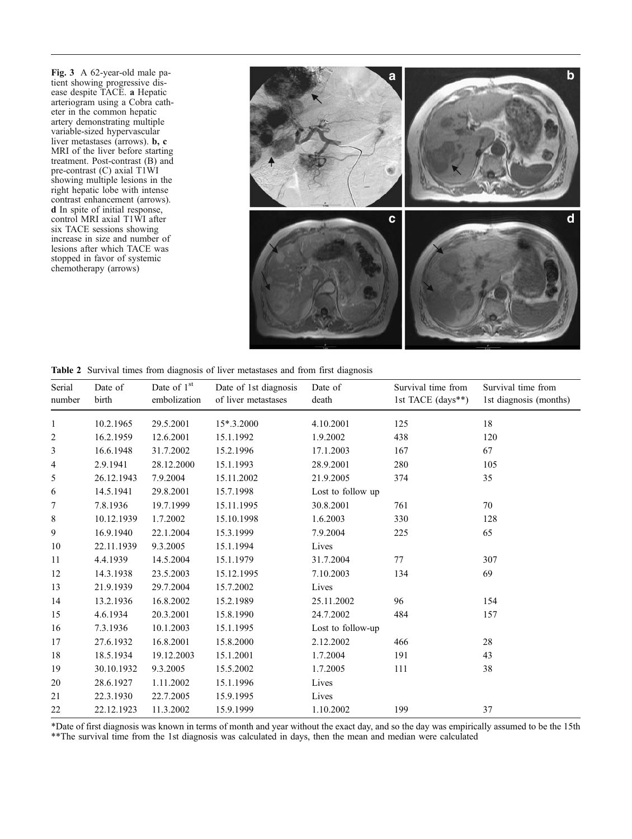<span id="page-5-0"></span>Fig. 3 A 62-year-old male patient showing progressive disease despite TACE. a Hepatic arteriogram using a Cobra catheter in the common hepatic artery demonstrating multiple variable-sized hypervascular liver metastases (arrows). b, c MRI of the liver before starting treatment. Post-contrast (B) and pre-contrast (C) axial T1WI showing multiple lesions in the right hepatic lobe with intense contrast enhancement (arrows). d In spite of initial response, control MRI axial T1WI after six TACE sessions showing increase in size and number of lesions after which TACE was stopped in favor of systemic chemotherapy (arrows)



Table 2 Survival times from diagnosis of liver metastases and from first diagnosis

| Serial                   | Date of    | Date of 1 <sup>st</sup> | Date of 1st diagnosis | Date of           | Survival time from         | Survival time from     |
|--------------------------|------------|-------------------------|-----------------------|-------------------|----------------------------|------------------------|
| number                   | birth      | embolization            | of liver metastases   | death             | 1st TACE $\text{(days**)}$ | 1st diagnosis (months) |
| $\mathbf{1}$             | 10.2.1965  | 29.5.2001               | 15*.3.2000            | 4.10.2001         | 125                        | 18                     |
| $\overline{c}$           | 16.2.1959  | 12.6.2001               | 15.1.1992             | 1.9.2002          | 438                        | 120                    |
| 3                        | 16.6.1948  | 31.7.2002               | 15.2.1996             | 17.1.2003         | 167                        | 67                     |
| $\overline{\mathcal{L}}$ | 2.9.1941   | 28.12.2000              | 15.1.1993             | 28.9.2001         | 280                        | 105                    |
| 5                        | 26.12.1943 | 7.9.2004                | 15.11.2002            | 21.9.2005         | 374                        | 35                     |
| 6                        | 14.5.1941  | 29.8.2001               | 15.7.1998             | Lost to follow up |                            |                        |
| $\boldsymbol{7}$         | 7.8.1936   | 19.7.1999               | 15.11.1995            | 30.8.2001         | 761                        | 70                     |
| 8                        | 10.12.1939 | 1.7.2002                | 15.10.1998            | 1.6.2003          | 330                        | 128                    |
| 9                        | 16.9.1940  | 22.1.2004               | 15.3.1999             | 7.9.2004          | 225                        | 65                     |
| $10\,$                   | 22.11.1939 | 9.3.2005                | 15.1.1994             | Lives             |                            |                        |
| 11                       | 4.4.1939   | 14.5.2004               | 15.1.1979             | 31.7.2004         | 77                         | 307                    |
| 12                       | 14.3.1938  | 23.5.2003               | 15.12.1995            | 7.10.2003         | 134                        | 69                     |
| 13                       | 21.9.1939  | 29.7.2004               | 15.7.2002             | Lives             |                            |                        |
| 14                       | 13.2.1936  | 16.8.2002               | 15.2.1989             | 25.11.2002        | 96                         | 154                    |
| 15                       | 4.6.1934   | 20.3.2001               | 15.8.1990             | 24.7.2002         | 484                        | 157                    |
| 16                       | 7.3.1936   | 10.1.2003               | 15.1.1995             | Lost to follow-up |                            |                        |
| 17                       | 27.6.1932  | 16.8.2001               | 15.8.2000             | 2.12.2002         | 466                        | 28                     |
| 18                       | 18.5.1934  | 19.12.2003              | 15.1.2001             | 1.7.2004          | 191                        | 43                     |
| 19                       | 30.10.1932 | 9.3.2005                | 15.5.2002             | 1.7.2005          | 111                        | 38                     |
| 20                       | 28.6.1927  | 1.11.2002               | 15.1.1996             | Lives             |                            |                        |
| 21                       | 22.3.1930  | 22.7.2005               | 15.9.1995             | Lives             |                            |                        |
| 22                       | 22.12.1923 | 11.3.2002               | 15.9.1999             | 1.10.2002         | 199                        | 37                     |

\*Date of first diagnosis was known in terms of month and year without the exact day, and so the day was empirically assumed to be the 15th \*\*The survival time from the 1st diagnosis was calculated in days, then the mean and median were calculated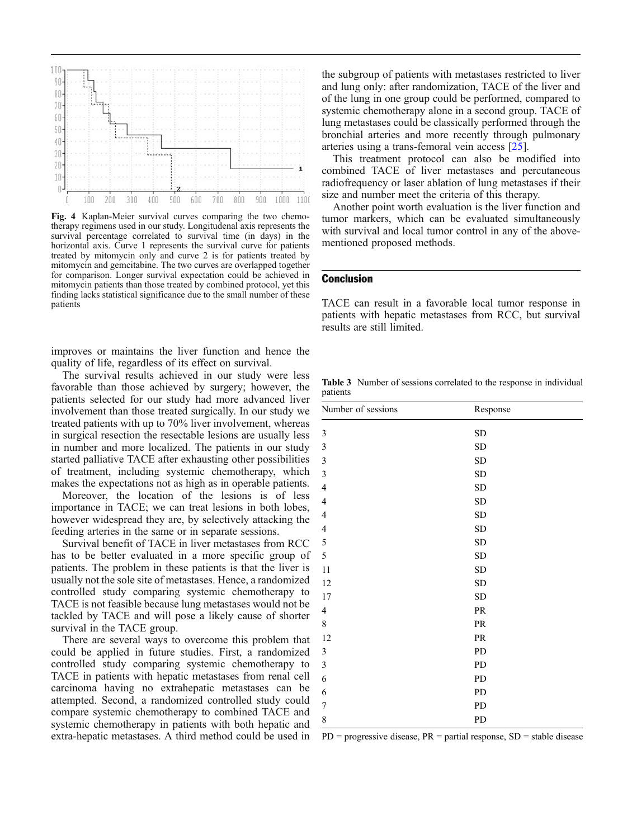<span id="page-6-0"></span>

Fig. 4 Kaplan-Meier survival curves comparing the two chemotherapy regimens used in our study. Longitudenal axis represents the survival percentage correlated to survival time (in days) in the horizontal axis. Curve 1 represents the survival curve for patients treated by mitomycin only and curve 2 is for patients treated by mitomycin and gemcitabine. The two curves are overlapped together for comparison. Longer survival expectation could be achieved in mitomycin patients than those treated by combined protocol, yet this finding lacks statistical significance due to the small number of these patients

improves or maintains the liver function and hence the quality of life, regardless of its effect on survival.

The survival results achieved in our study were less favorable than those achieved by surgery; however, the patients selected for our study had more advanced liver involvement than those treated surgically. In our study we treated patients with up to 70% liver involvement, whereas in surgical resection the resectable lesions are usually less in number and more localized. The patients in our study started palliative TACE after exhausting other possibilities of treatment, including systemic chemotherapy, which makes the expectations not as high as in operable patients.

Moreover, the location of the lesions is of less importance in TACE; we can treat lesions in both lobes, however widespread they are, by selectively attacking the feeding arteries in the same or in separate sessions.

Survival benefit of TACE in liver metastases from RCC has to be better evaluated in a more specific group of patients. The problem in these patients is that the liver is usually not the sole site of metastases. Hence, a randomized controlled study comparing systemic chemotherapy to TACE is not feasible because lung metastases would not be tackled by TACE and will pose a likely cause of shorter survival in the TACE group.

There are several ways to overcome this problem that could be applied in future studies. First, a randomized controlled study comparing systemic chemotherapy to TACE in patients with hepatic metastases from renal cell carcinoma having no extrahepatic metastases can be attempted. Second, a randomized controlled study could compare systemic chemotherapy to combined TACE and systemic chemotherapy in patients with both hepatic and extra-hepatic metastases. A third method could be used in

the subgroup of patients with metastases restricted to liver and lung only: after randomization, TACE of the liver and of the lung in one group could be performed, compared to systemic chemotherapy alone in a second group. TACE of lung metastases could be classically performed through the bronchial arteries and more recently through pulmonary arteries using a trans-femoral vein access [[25](#page-7-0)].

This treatment protocol can also be modified into combined TACE of liver metastases and percutaneous radiofrequency or laser ablation of lung metastases if their size and number meet the criteria of this therapy.

Another point worth evaluation is the liver function and tumor markers, which can be evaluated simultaneously with survival and local tumor control in any of the abovementioned proposed methods.

#### Conclusion

TACE can result in a favorable local tumor response in patients with hepatic metastases from RCC, but survival results are still limited.

Table 3 Number of sessions correlated to the response in individual patients

| Number of sessions       | Response   |  |  |
|--------------------------|------------|--|--|
| 3                        | SD         |  |  |
| $\mathfrak{Z}$           | ${\rm SD}$ |  |  |
| $\sqrt{3}$               | ${\rm SD}$ |  |  |
| $\mathfrak{Z}$           | ${\rm SD}$ |  |  |
| $\overline{\mathcal{L}}$ | <b>SD</b>  |  |  |
| $\overline{\mathcal{A}}$ | ${\rm SD}$ |  |  |
| $\overline{\mathbf{4}}$  | <b>SD</b>  |  |  |
| $\overline{\mathcal{L}}$ | <b>SD</b>  |  |  |
| 5                        | <b>SD</b>  |  |  |
| 5                        | SD         |  |  |
| 11                       | ${\rm SD}$ |  |  |
| 12                       | ${\rm SD}$ |  |  |
| $17$                     | <b>SD</b>  |  |  |
| $\overline{\mathcal{A}}$ | PR         |  |  |
| $\,8\,$                  | ${\sf PR}$ |  |  |
| 12                       | PR         |  |  |
| $\mathfrak{Z}$           | PD         |  |  |
| $\mathfrak{Z}$           | ${\rm PD}$ |  |  |
| $\boldsymbol{6}$         | ${\rm PD}$ |  |  |
| 6                        | PD         |  |  |
| 7                        | PD         |  |  |
| 8                        | PD         |  |  |

 $PD =$  progressive disease,  $PR =$  partial response,  $SD =$  stable disease